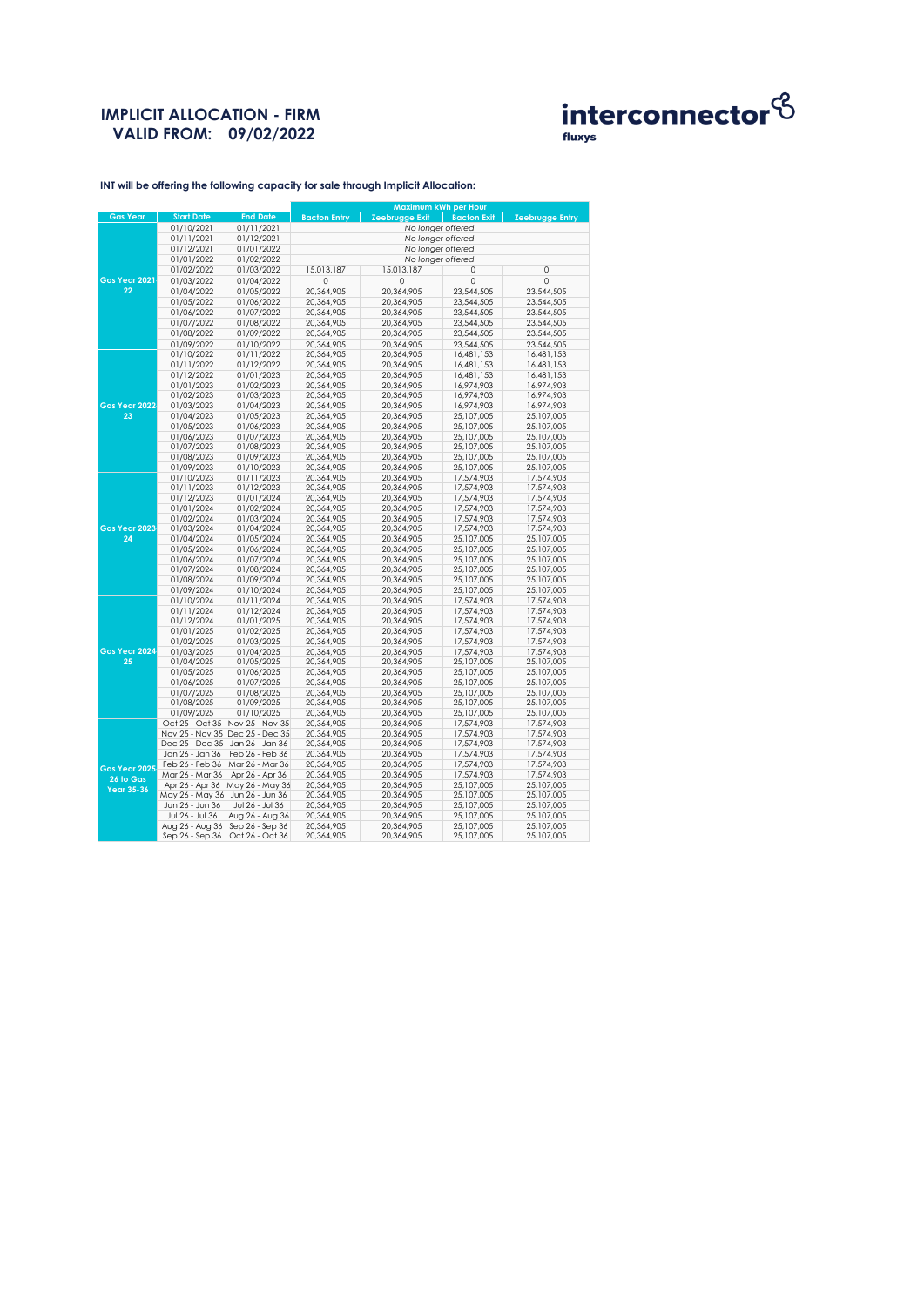# **IMPLICIT ALLOCATION - FIRM VALID FROM: 09/02/2022**



fluxys

**INT will be offering the following capacity for sale through Implicit Allocation:** 

|                 |                                                      |                                   | Maximum kWh per Hour |                   |                    |                          |  |  |
|-----------------|------------------------------------------------------|-----------------------------------|----------------------|-------------------|--------------------|--------------------------|--|--|
| <b>Gas Year</b> | <b>Start Date</b>                                    | <b>End Date</b>                   | <b>Bacton Entry</b>  | Zeebrugge Exit    | <b>Bacton Exit</b> | <b>Zeebrugge Entry</b>   |  |  |
|                 | 01/10/2021                                           | 01/11/2021                        |                      | No longer offered |                    |                          |  |  |
|                 | 01/11/2021                                           | 01/12/2021                        | No longer offered    |                   |                    |                          |  |  |
|                 | 01/12/2021                                           | 01/01/2022                        | No longer offered    |                   |                    |                          |  |  |
|                 | 01/01/2022                                           | 01/02/2022                        | No longer offered    |                   |                    |                          |  |  |
|                 | 01/02/2022                                           | 01/03/2022                        | 15,013,187           | 15,013,187        | 0                  | 0                        |  |  |
| Gas Year 2021   | 01/03/2022                                           | 01/04/2022                        | $\Omega$             | 0                 | $\Omega$           | $\Omega$                 |  |  |
| 22              | 01/04/2022                                           | 01/05/2022                        | 20,364,905           | 20,364,905        | 23,544,505         | 23,544,505               |  |  |
|                 | 01/05/2022                                           | 01/06/2022                        | 20,364,905           | 20,364,905        | 23,544,505         | 23,544,505               |  |  |
|                 | 01/06/2022                                           | 01/07/2022                        | 20,364,905           | 20,364,905        | 23,544,505         | 23,544,505               |  |  |
|                 | 01/07/2022                                           | 01/08/2022                        | 20,364,905           | 20,364,905        | 23,544,505         | 23,544,505               |  |  |
|                 | 01/08/2022                                           | 01/09/2022                        | 20,364,905           | 20,364,905        | 23,544,505         | 23,544,505               |  |  |
|                 | 01/09/2022                                           | 01/10/2022                        | 20,364,905           | 20,364,905        | 23,544,505         | 23,544,505               |  |  |
|                 | 01/10/2022                                           | 01/11/2022                        | 20,364,905           | 20,364,905        | 16,481,153         | 16,481,153               |  |  |
|                 | 01/11/2022                                           | 01/12/2022                        | 20,364,905           | 20,364,905        | 16,481,153         | 16,481,153               |  |  |
|                 | 01/12/2022                                           | 01/01/2023                        | 20,364,905           | 20,364,905        | 16,481,153         | 16,481,153               |  |  |
|                 | 01/01/2023                                           | 01/02/2023                        | 20,364,905           | 20,364,905        | 16,974,903         | 16,974,903               |  |  |
|                 | 01/02/2023                                           | 01/03/2023                        | 20,364,905           | 20,364,905        | 16,974,903         | 16,974,903               |  |  |
| Gas Year 2022   | 01/03/2023                                           | 01/04/2023                        | 20,364,905           | 20,364,905        | 16,974,903         | 16,974,903               |  |  |
| 23              | 01/04/2023                                           | 01/05/2023                        | 20,364,905           | 20,364,905        | 25,107,005         | 25,107,005               |  |  |
|                 | 01/05/2023                                           | 01/06/2023                        | 20,364,905           | 20,364,905        | 25,107,005         | 25,107,005               |  |  |
|                 | 01/06/2023                                           | 01/07/2023                        | 20,364,905           | 20,364,905        | 25,107,005         | 25,107,005               |  |  |
|                 | 01/07/2023                                           | 01/08/2023                        | 20,364,905           | 20,364,905        | 25,107,005         | 25,107,005               |  |  |
|                 | 01/08/2023                                           | 01/09/2023                        | 20,364,905           | 20,364,905        | 25,107,005         | 25,107,005               |  |  |
|                 | 01/09/2023                                           | 01/10/2023                        | 20,364,905           | 20,364,905        | 25,107,005         | 25,107,005               |  |  |
|                 | 01/10/2023                                           | 01/11/2023                        | 20,364,905           | 20,364,905        | 17,574,903         | 17,574,903               |  |  |
|                 | 01/11/2023                                           | 01/12/2023                        | 20,364,905           | 20,364,905        | 17,574,903         | 17,574,903               |  |  |
|                 | 01/12/2023                                           | 01/01/2024                        | 20,364,905           | 20,364,905        | 17,574,903         | 17,574,903               |  |  |
|                 | 01/01/2024                                           | 01/02/2024                        | 20,364,905           | 20,364,905        | 17,574,903         | 17,574,903               |  |  |
|                 | 01/02/2024                                           | 01/03/2024                        | 20,364,905           | 20,364,905        | 17,574,903         | 17,574,903               |  |  |
| Gas Year 2023   | 01/03/2024                                           | 01/04/2024                        | 20,364,905           | 20,364,905        | 17,574,903         | 17,574,903               |  |  |
| 24              | 01/04/2024                                           | 01/05/2024                        | 20,364,905           | 20,364,905        | 25,107,005         | 25,107,005               |  |  |
|                 | 01/05/2024                                           | 01/06/2024                        | 20,364,905           | 20,364,905        | 25,107,005         | 25,107,005               |  |  |
|                 | 01/06/2024                                           | 01/07/2024                        | 20,364,905           | 20,364,905        | 25,107,005         | 25,107,005               |  |  |
|                 | 01/07/2024                                           | 01/08/2024                        | 20,364,905           | 20,364,905        | 25,107,005         | 25,107,005               |  |  |
|                 | 01/08/2024                                           | 01/09/2024                        | 20,364,905           | 20,364,905        | 25,107,005         | 25,107,005               |  |  |
|                 | 01/09/2024                                           | 01/10/2024                        | 20,364,905           | 20,364,905        | 25,107,005         | 25,107,005               |  |  |
|                 | 01/10/2024                                           | 01/11/2024                        | 20,364,905           | 20,364,905        | 17,574,903         | 17,574,903               |  |  |
|                 | 01/11/2024                                           | 01/12/2024                        | 20,364,905           | 20,364,905        | 17,574,903         | 17,574,903               |  |  |
|                 | 01/12/2024                                           | 01/01/2025                        | 20,364,905           | 20,364,905        | 17,574,903         | 17,574,903               |  |  |
|                 | 01/01/2025                                           | 01/02/2025                        | 20,364,905           | 20,364,905        | 17,574,903         | 17,574,903               |  |  |
|                 | 01/02/2025                                           | 01/03/2025                        | 20,364,905           | 20,364,905        | 17,574,903         | 17,574,903               |  |  |
| Gas Year 2024   | 01/03/2025                                           | 01/04/2025                        | 20,364,905           | 20,364,905        | 17,574,903         | 17,574,903               |  |  |
| 25              | 01/04/2025                                           | 01/05/2025                        | 20,364,905           | 20,364,905        | 25,107,005         | 25,107,005               |  |  |
|                 | 01/05/2025                                           | 01/06/2025                        | 20,364,905           | 20,364,905        | 25,107,005         | 25,107,005               |  |  |
|                 | 01/06/2025                                           | 01/07/2025                        | 20,364,905           | 20,364,905        | 25,107,005         | 25,107,005               |  |  |
|                 | 01/07/2025                                           | 01/08/2025                        | 20,364,905           | 20,364,905        | 25,107,005         | 25,107,005               |  |  |
|                 | 01/08/2025                                           | 01/09/2025                        | 20,364,905           | 20,364,905        | 25,107,005         | 25,107,005               |  |  |
|                 | 01/09/2025                                           | 01/10/2025                        | 20,364,905           | 20,364,905        | 25,107,005         | 25,107,005               |  |  |
|                 |                                                      | Oct 25 - Oct 35 Nov 25 - Nov 35   | 20,364,905           | 20,364,905        | 17,574,903         | 17,574,903               |  |  |
|                 |                                                      | Nov 25 - Nov 35 Dec 25 - Dec 35   | 20,364,905           | 20,364,905        | 17,574,903         | 17,574,903               |  |  |
|                 | Dec 25 - Dec 35                                      | Jan 26 - Jan 36                   | 20,364,905           | 20,364,905        | 17,574,903         | 17,574,903               |  |  |
|                 | Jan 26 - Jan 36                                      | Feb 26 - Feb 36                   | 20,364,905           | 20,364,905        | 17,574,903         | 17,574,903               |  |  |
| Gas Year 2025   | Feb 26 - Feb 36                                      | Mar 26 - Mar 36                   | 20,364,905           | 20,364,905        | 17,574,903         | 17,574,903               |  |  |
| 26 to Gas       | Mar 26 - Mar 36                                      | Apr 26 - Apr 36                   | 20,364,905           | 20,364,905        | 17,574,903         | 17,574,903               |  |  |
| Year 35-36      |                                                      | Apr 26 - Apr 36 May 26 - May 36   | 20,364,905           | 20,364,905        | 25,107,005         | 25,107,005               |  |  |
|                 | May 26 - May 36 Jun 26 - Jun 36                      |                                   | 20,364,905           | 20,364,905        | 25,107,005         | 25,107,005               |  |  |
|                 | Jun 26 - Jun 36                                      | Jul 26 - Jul 36                   | 20,364,905           | 20,364,905        | 25,107,005         | 25,107,005               |  |  |
|                 | Jul 26 - Jul 36<br>Aug 26 - Aug 36   Sep 26 - Sep 36 | Aug 26 - Aug 36                   | 20,364,905           | 20,364,905        | 25,107,005         | 25,107,005<br>25,107,005 |  |  |
|                 |                                                      |                                   | 20,364,905           | 20,364,905        | 25,107,005         |                          |  |  |
|                 |                                                      | Sep 26 - Sep 36   Oct 26 - Oct 36 | 20,364,905           | 20,364,905        | 25,107,005         | 25,107,005               |  |  |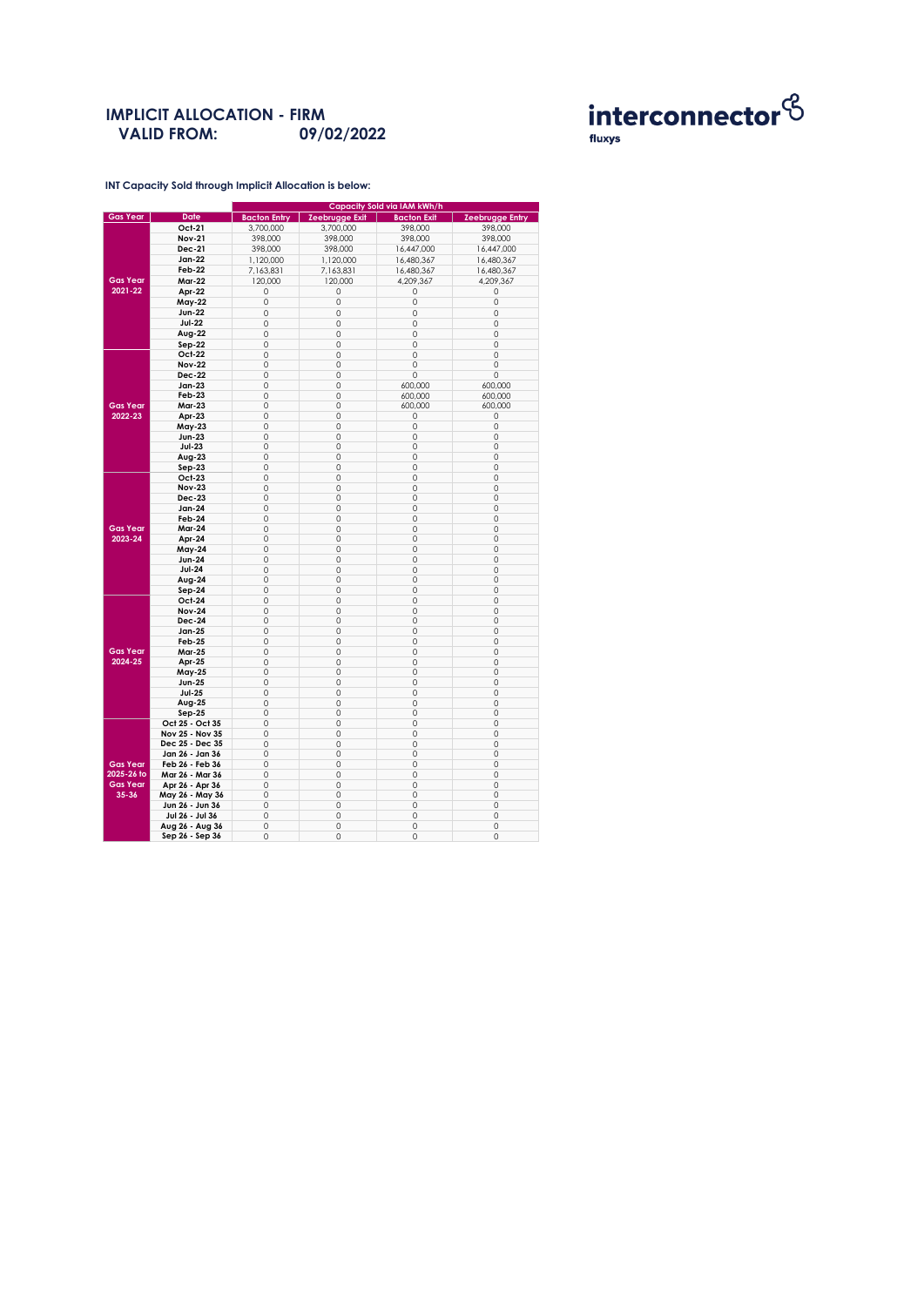### **IMPLICIT ALLOCATION - FIRM 09/02/2022 VALID FROM:**



**INT Capacity Sold through Implicit Allocation is below:** 

|                            |                 | Capacity Sold via IAM kWh/h |                       |                    |                        |  |  |
|----------------------------|-----------------|-----------------------------|-----------------------|--------------------|------------------------|--|--|
| <b>Gas Year</b>            | Date            | <b>Bacton Entry</b>         | <b>Zeebrugge Exit</b> | <b>Bacton Exit</b> | <b>Zeebrugge Entry</b> |  |  |
|                            | Oct-21          | 3,700,000                   | 3,700,000             | 398,000            | 398,000                |  |  |
|                            | <b>Nov-21</b>   | 398,000                     | 398,000               | 398,000            | 398,000                |  |  |
|                            | Dec-21          | 398,000                     | 398,000               | 16,447,000         | 16,447,000             |  |  |
|                            | Jan-22          | 1,120,000                   | 1,120,000             | 16,480,367         | 16,480,367             |  |  |
|                            | Feb-22          | 7,163,831                   | 7,163,831             | 16,480,367         | 16,480,367             |  |  |
|                            |                 |                             |                       |                    |                        |  |  |
| <b>Gas Year</b><br>2021-22 | <b>Mar-22</b>   | 120,000                     | 120,000               | 4,209,367          | 4,209,367              |  |  |
|                            | Apr-22          | 0                           | 0                     | 0                  | 0                      |  |  |
|                            | May-22          | 0                           | $\mathbf 0$           | 0                  | $\mathbf 0$            |  |  |
|                            | <b>Jun-22</b>   | 0                           | $\mathbf 0$           | 0                  | $\mathbf 0$            |  |  |
|                            | <b>Jul-22</b>   | 0                           | $\mathbf 0$           | 0                  | $\mathbf 0$            |  |  |
|                            | Aug-22          | $\Omega$                    | $\mathbf 0$           | $\mathbf 0$        | $\mathbf 0$            |  |  |
|                            | Sep-22          | 0                           | 0                     | 0                  | 0                      |  |  |
|                            | Oct-22          | 0                           | $\mathbf 0$           | 0                  | 0                      |  |  |
|                            | <b>Nov-22</b>   | 0                           | 0                     | 0                  | 0                      |  |  |
|                            | <b>Dec-22</b>   | 0                           | $\mathbf 0$           | 0                  | 0                      |  |  |
|                            | Jan-23          | 0                           | 0                     | 600,000            | 600,000                |  |  |
|                            | <b>Feb-23</b>   | 0                           | 0                     | 600,000            | 600.000                |  |  |
| <b>Gas Year</b>            | <b>Mar-23</b>   | 0                           | $\mathbf 0$           | 600,000            | 600,000                |  |  |
| 2022-23                    | Apr-23          | 0                           | 0                     | 0                  | 0                      |  |  |
|                            | May-23          | 0                           | $\mathbf 0$           | 0                  | 0                      |  |  |
|                            | <b>Jun-23</b>   | 0                           | 0                     | 0                  | 0                      |  |  |
|                            | <b>Jul-23</b>   | 0                           | 0                     | 0                  | 0                      |  |  |
|                            | $Avg-23$        | 0                           | 0                     | 0                  | 0                      |  |  |
|                            |                 | 0                           | 0                     | 0                  | 0                      |  |  |
|                            | $Sep-23$        | $\Omega$                    |                       |                    |                        |  |  |
|                            | Oct-23          |                             | $\mathbf 0$           | $\circ$            | $\mathbf 0$            |  |  |
|                            | <b>Nov-23</b>   | 0                           | 0                     | 0                  | 0                      |  |  |
|                            | <b>Dec-23</b>   | 0                           | $\mathbf 0$           | 0                  | $\mathbf 0$            |  |  |
|                            | <b>Jan-24</b>   | 0                           | 0                     | 0                  | 0                      |  |  |
|                            | Feb-24          | 0                           | 0                     | 0                  | 0                      |  |  |
| <b>Gas Year</b>            | <b>Mar-24</b>   | 0                           | 0                     | 0                  | 0                      |  |  |
| 2023-24                    | Apr-24          | 0                           | 0                     | 0                  | 0                      |  |  |
|                            | May-24          | 0                           | $\mathbf 0$           | $\circ$            | $\mathbf 0$            |  |  |
|                            | <b>Jun-24</b>   | 0                           | 0                     | 0                  | 0                      |  |  |
|                            | <b>Jul-24</b>   | 0                           | $\mathbf 0$           | 0                  | $\mathbf 0$            |  |  |
|                            | Aug-24          | 0                           | 0                     | 0                  | 0                      |  |  |
|                            | $Sep-24$        | 0                           | 0                     | 0                  | 0                      |  |  |
|                            | Oct-24          | 0                           | 0                     | 0                  | 0                      |  |  |
|                            | <b>Nov-24</b>   | 0                           | 0                     | 0                  | 0                      |  |  |
|                            | <b>Dec-24</b>   | 0                           | 0                     | 0                  | 0                      |  |  |
|                            | Jan-25          | 0                           | $\mathbf 0$           | 0                  | 0                      |  |  |
|                            | Feb-25          | 0                           | $\mathbf 0$           | 0                  | 0                      |  |  |
| <b>Gas Year</b><br>2024-25 | Mar-25          | 0                           | 0                     | 0                  | 0                      |  |  |
|                            | Apr-25          | 0                           | $\mathbf 0$           | 0                  | $\mathbf 0$            |  |  |
|                            | May-25          | 0                           | 0                     | 0                  | 0                      |  |  |
|                            | <b>Jun-25</b>   | $\Omega$                    | $\mathbf 0$           | $\circ$            | 0                      |  |  |
|                            | <b>Jul-25</b>   | 0                           | 0                     | 0                  | 0                      |  |  |
|                            | Aug-25          | 0                           | $\mathbf 0$           | 0                  | $\mathbf 0$            |  |  |
|                            | $Sep-25$        | 0                           | $\mathbf 0$           | 0                  | $\mathbf 0$            |  |  |
|                            | Oct 25 - Oct 35 | 0                           | 0                     | 0                  | 0                      |  |  |
|                            | Nov 25 - Nov 35 | $\Omega$                    | $\mathbf 0$           | $\circ$            | $\Omega$               |  |  |
| <b>Gas Year</b>            | Dec 25 - Dec 35 | 0                           | 0                     | 0                  | 0                      |  |  |
|                            | Jan 26 - Jan 36 | 0                           | $\mathbf 0$           | 0                  | $\mathbf 0$            |  |  |
|                            | Feb 26 - Feb 36 | 0                           | 0                     | 0                  | 0                      |  |  |
| 2025-26 to                 | Mar 26 - Mar 36 | 0                           | $\mathbf 0$           | $\circ$            | 0                      |  |  |
| <b>Gas Year</b>            | Apr 26 - Apr 36 | 0                           | $\mathbf 0$           | $\circ$            | $\mathbf 0$            |  |  |
| 35-36                      |                 | 0                           | 0                     |                    |                        |  |  |
|                            | May 26 - May 36 |                             |                       | 0                  | 0                      |  |  |
|                            | Jun 26 - Jun 36 | $\overline{0}$              | $\mathbf 0$           | 0                  | $\mathbf 0$            |  |  |
|                            | Jul 26 - Jul 36 | 0                           | 0                     | 0                  | 0                      |  |  |
|                            | Aug 26 - Aug 36 | 0                           | 0                     | $\circ$            | 0                      |  |  |
|                            | Sep 26 - Sep 36 | 0                           | 0                     | 0                  | 0                      |  |  |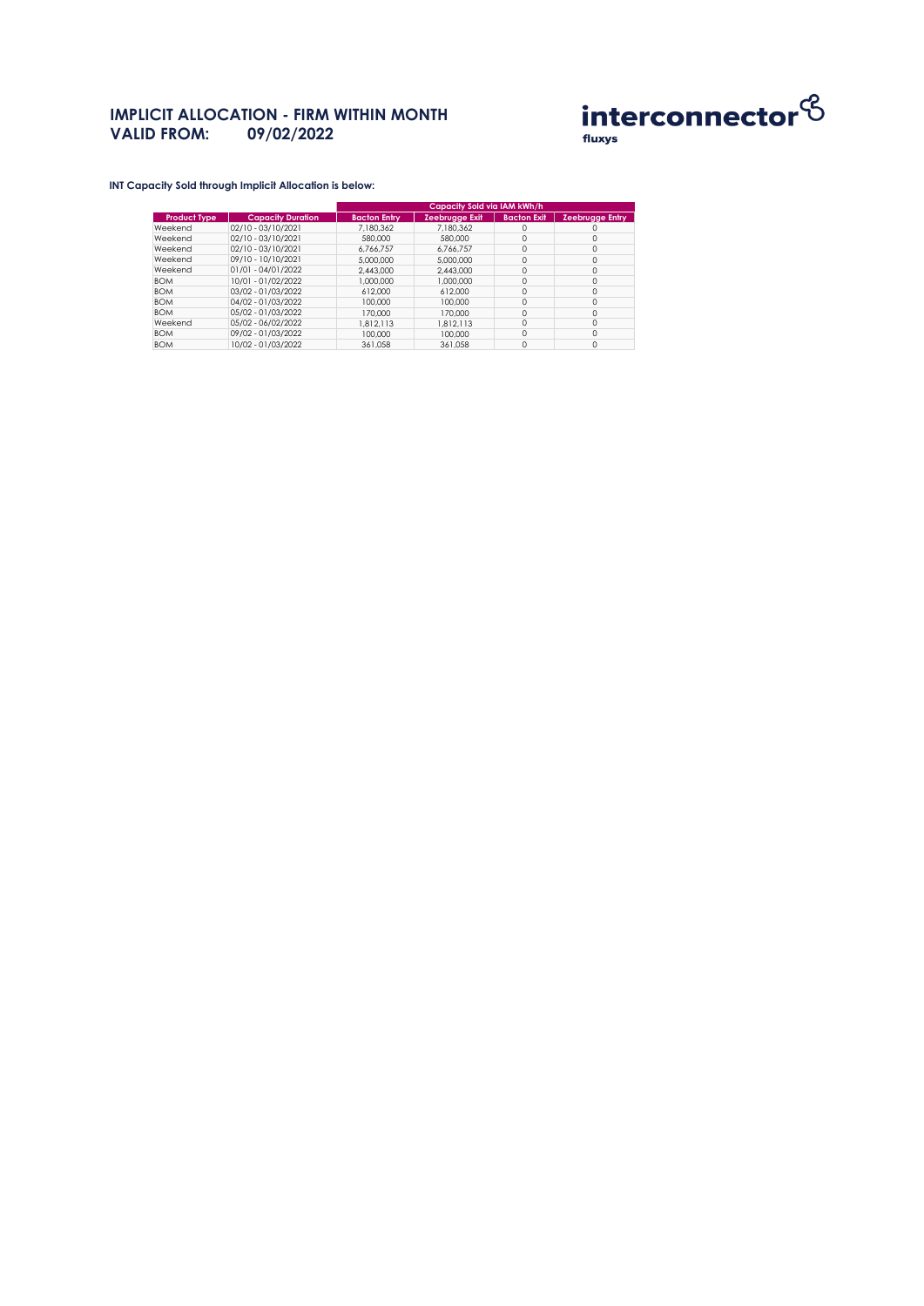## **IMPLICIT ALLOCATION - FIRM WITHIN MONTH VALID FROM: 09/02/2022 VALID FROM: 09/02/2022**



**INT Capacity Sold through Implicit Allocation is below:** 

|                     |                          | Capacity Sold via IAM kWh/h |                |                    |                 |  |
|---------------------|--------------------------|-----------------------------|----------------|--------------------|-----------------|--|
| <b>Product Type</b> | <b>Capacity Duration</b> | <b>Bacton Entry</b>         | Zeebrugge Exit | <b>Bacton Exit</b> | Zeebrugge Entry |  |
| Weekend             | 02/10 - 03/10/2021       | 7.180.362                   | 7.180.362      | $\Omega$           | 0               |  |
| Weekend             | 02/10 - 03/10/2021       | 580,000                     | 580,000        | 0                  | 0               |  |
| Weekend             | 02/10 - 03/10/2021       | 6.766.757                   | 6.766.757      | $\Omega$           | $\Omega$        |  |
| Weekend             | 09/10 - 10/10/2021       | 5,000,000                   | 5,000,000      | $\Omega$           | 0               |  |
| Weekend             | 01/01 - 04/01/2022       | 2.443.000                   | 2.443.000      | 0                  | 0               |  |
| <b>BOM</b>          | 10/01 - 01/02/2022       | 1,000,000                   | 1,000,000      | $\Omega$           | $\Omega$        |  |
| <b>BOM</b>          | 03/02 - 01/03/2022       | 612,000                     | 612,000        | $\Omega$           | 0               |  |
| <b>BOM</b>          | 04/02 - 01/03/2022       | 100,000                     | 100,000        | 0                  | 0               |  |
| <b>BOM</b>          | 05/02 - 01/03/2022       | 170,000                     | 170,000        | $\Omega$           | $\Omega$        |  |
| Weekend             | 05/02 - 06/02/2022       | 1.812.113                   | 1.812.113      | $\Omega$           | 0               |  |
| <b>BOM</b>          | 09/02 - 01/03/2022       | 100,000                     | 100,000        | 0                  | 0               |  |
| <b>BOM</b>          | 10/02 - 01/03/2022       | 361.058                     | 361.058        | $\Omega$           | $\Omega$        |  |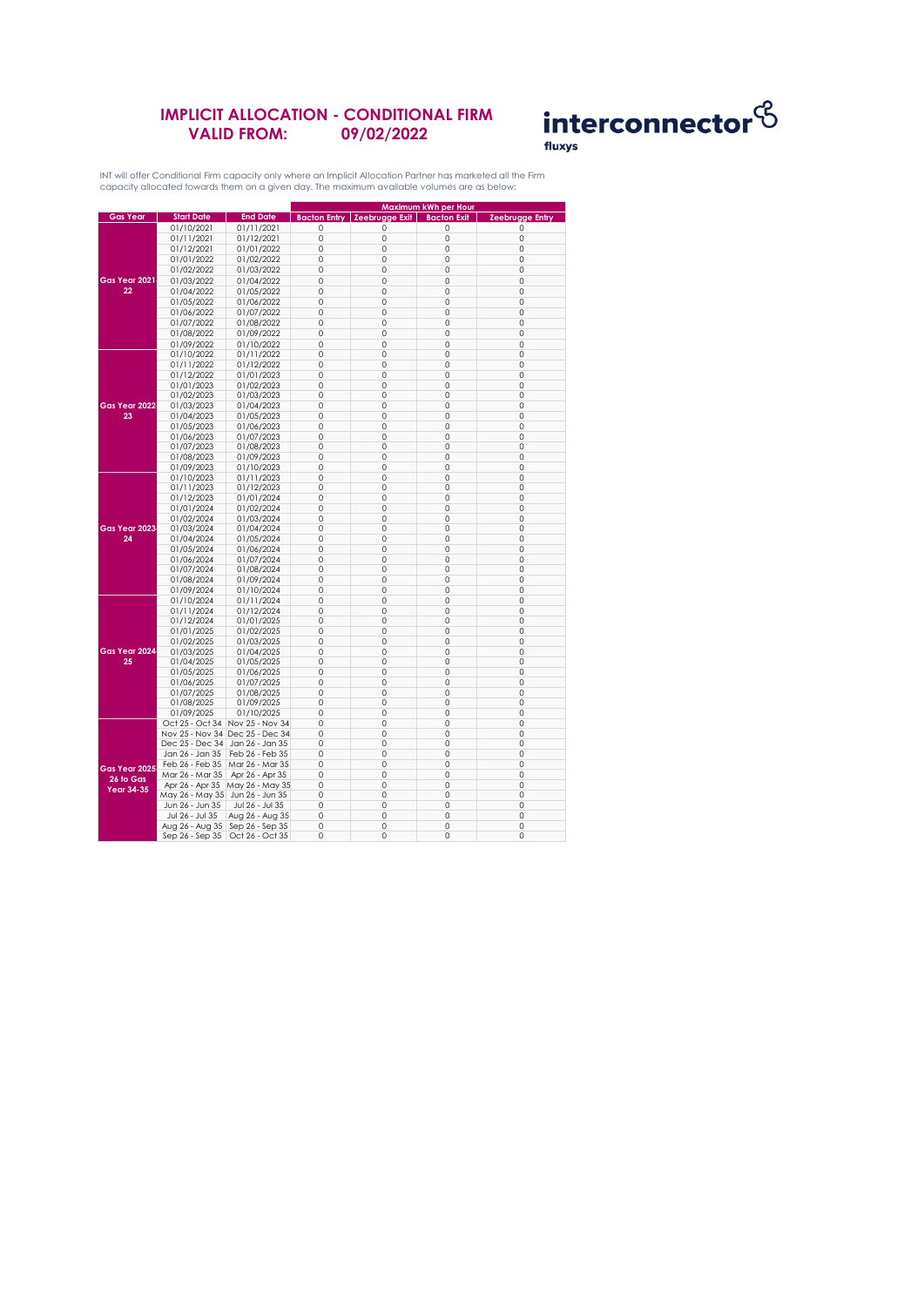### **IMPLICIT ALLOCATION - CONDITIONAL FIRM VALID FROM: 09/02/2022**



INT will offer Conditional Firm capacity only where an Implicit Allocation Partner has marketed all the Firm capacity allocated towards them on a given day. The maximum available volumes are as below:

|                                                      |                                   |                                 |             | Maximum kWh per Hour                   |                    |                        |
|------------------------------------------------------|-----------------------------------|---------------------------------|-------------|----------------------------------------|--------------------|------------------------|
| <b>Gas Year</b>                                      | <b>Start Date</b>                 | <b>End Date</b>                 |             | <b>Bacton Entry   Zeebrugge Exit  </b> | <b>Bacton Exit</b> | <b>Zeebrugge Entry</b> |
|                                                      | 01/10/2021                        | 01/11/2021                      | $\mathbf 0$ | 0                                      | $\mathbf 0$        | 0                      |
|                                                      | 01/11/2021                        | 01/12/2021                      | $\mathbf 0$ | $\circ$                                | $\mathbf 0$        | $\mathbf 0$            |
|                                                      |                                   |                                 |             |                                        |                    |                        |
|                                                      | 01/12/2021                        | 01/01/2022                      | $\circ$     | 0                                      | 0                  | $\circ$                |
|                                                      | 01/01/2022                        | 01/02/2022                      | $\circ$     | 0                                      | $\mathbf 0$        | 0                      |
| Gas Year 2021<br>22                                  | 01/02/2022                        | 01/03/2022                      | $\circ$     | 0                                      | 0                  | $\mathbf 0$            |
|                                                      | 01/03/2022                        | 01/04/2022                      | $\mathbf 0$ | $\circ$                                | $\mathbf 0$        | $\mathbf 0$            |
|                                                      | 01/04/2022                        | 01/05/2022                      | $\circ$     | 0                                      | 0                  | $\circ$                |
|                                                      | 01/05/2022                        | 01/06/2022                      | $\circ$     | 0                                      | 0                  | $\circ$                |
|                                                      | 01/06/2022                        | 01/07/2022                      | $\circ$     | 0                                      | $\circ$            | $\mathbf 0$            |
|                                                      | 01/07/2022                        | 01/08/2022                      | $\mathbf 0$ | $\circ$                                | $\mathbf 0$        | $\mathbf 0$            |
|                                                      | 01/08/2022                        | 01/09/2022                      | $\circ$     | 0                                      | $\mathbf 0$        | $\circ$                |
|                                                      |                                   |                                 | $\circ$     | 0                                      | $\mathbf 0$        | 0                      |
|                                                      | 01/09/2022                        | 01/10/2022                      |             | $\circ$                                | $\mathbf 0$        | $\mathbf 0$            |
|                                                      | 01/10/2022                        | 01/11/2022                      | $\circ$     |                                        |                    |                        |
|                                                      | 01/11/2022                        | 01/12/2022                      | $\Omega$    | $\Omega$                               | $\Omega$           | $\Omega$               |
|                                                      | 01/12/2022                        | 01/01/2023                      | 0           | 0                                      | 0                  | 0                      |
|                                                      | 01/01/2023                        | 01/02/2023                      | $\mathbf 0$ | $\circ$                                | $\mathbf 0$        | $\mathbf 0$            |
|                                                      | 01/02/2023                        | 01/03/2023                      | $\Omega$    | $\circ$                                | $\mathbf 0$        | $\circ$                |
| Gas Year 2022                                        | 01/03/2023                        | 01/04/2023                      | 0           | 0                                      | 0                  | $\circ$                |
| 23                                                   | 01/04/2023                        | 01/05/2023                      | $\circ$     | 0                                      | $\mathbf 0$        | 0                      |
|                                                      | 01/05/2023                        | 01/06/2023                      | $\circ$     | 0                                      | $\mathbf 0$        | $\circ$                |
|                                                      | 01/06/2023                        | 01/07/2023                      | $\circ$     | 0                                      | $\mathbf 0$        | $\circ$                |
|                                                      | 01/07/2023                        | 01/08/2023                      | $\circ$     | 0                                      | $\circ$            | 0                      |
|                                                      | 01/08/2023                        | 01/09/2023                      | $\circ$     | 0                                      | 0                  | $\circ$                |
|                                                      | 01/09/2023                        | 01/10/2023                      | $\Omega$    | $\Omega$                               | $\mathbf 0$        | $\Omega$               |
|                                                      | 01/10/2023                        | 01/11/2023                      | $\circ$     | 0                                      | $\mathbf 0$        | $\circ$                |
|                                                      | 01/11/2023                        | 01/12/2023                      | $\circ$     | 0                                      | $\mathbf 0$        | $\circ$                |
|                                                      | 01/12/2023                        | 01/01/2024                      | $\circ$     | 0                                      | 0                  | $\circ$                |
|                                                      |                                   |                                 | $\circ$     | 0                                      | 0                  | $\mathbb O$            |
|                                                      | 01/01/2024                        | 01/02/2024                      |             | 0                                      | $\mathbf 0$        | $\mathbf 0$            |
|                                                      | 01/02/2024                        | 01/03/2024                      | $\circ$     |                                        |                    |                        |
| Gas Year 2023                                        | 01/03/2024                        | 01/04/2024                      | $\Omega$    | 0                                      | $\mathbf 0$        | $\Omega$               |
| 24                                                   | 01/04/2024                        | 01/05/2024                      | $\circ$     | 0                                      | 0                  | $\circ$                |
|                                                      | 01/05/2024                        | 01/06/2024                      | $\circ$     | 0                                      | 0                  | 0                      |
|                                                      | 01/06/2024                        | 01/07/2024                      | $\mathbf 0$ | 0                                      | $\mathbf 0$        | $\circ$                |
|                                                      | 01/07/2024                        | 01/08/2024                      | 0           | 0                                      | 0                  | 0                      |
|                                                      | 01/08/2024                        | 01/09/2024                      | $\circ$     | 0                                      | 0                  | $\circ$                |
|                                                      | 01/09/2024                        | 01/10/2024                      | $\Omega$    | $\Omega$                               | $\Omega$           | $\Omega$               |
|                                                      | 01/10/2024                        | 01/11/2024                      | $\circ$     | 0                                      | $\mathbf 0$        | $\circ$                |
|                                                      | 01/11/2024                        | 01/12/2024                      | $\circ$     | 0                                      | $\mathbf 0$        | 0                      |
|                                                      | 01/12/2024                        | 01/01/2025                      | $\circ$     | 0                                      | $\mathbf 0$        | $\circ$                |
|                                                      | 01/01/2025                        | 01/02/2025                      | $\circ$     | 0                                      | $\mathbf 0$        | $\circ$                |
|                                                      | 01/02/2025                        | 01/03/2025                      | $\circ$     | 0                                      | $\mathbf 0$        | 0                      |
| Gas Year 2024                                        | 01/03/2025                        | 01/04/2025                      | $\mathbf 0$ | $\circ$                                | $\mathbf 0$        | $\mathbf 0$            |
| 25                                                   | 01/04/2025                        | 01/05/2025                      | $\circ$     | 0                                      | $\mathbf 0$        | $\circ$                |
|                                                      | 01/05/2025                        | 01/06/2025                      | 0           | 0                                      | 0                  | $\circ$                |
|                                                      | 01/06/2025                        | 01/07/2025                      | 0           | 0                                      | $\circ$            | $\mathbf 0$            |
|                                                      | 01/07/2025                        | 01/08/2025                      | $\Omega$    | $\circ$                                | $\mathbf 0$        | $\mathbf 0$            |
|                                                      | 01/08/2025                        | 01/09/2025                      | $\circ$     | 0                                      | 0                  | $\circ$                |
|                                                      | 01/09/2025                        | 01/10/2025                      | $\circ$     | 0                                      | $\mathbf 0$        | $\circ$                |
|                                                      |                                   | Oct 25 - Oct 34 Nov 25 - Nov 34 | $\circ$     | 0                                      | $\mathbf 0$        | 0                      |
|                                                      |                                   |                                 |             |                                        |                    |                        |
|                                                      | Nov 25 - Nov 34 Dec 25 - Dec 34   |                                 | 0           | 0                                      | 0                  | 0                      |
|                                                      | Dec 25 - Dec 34                   | Jan 26 - Jan 35                 | $\circ$     | 0                                      | $\circ$            | $\circ$                |
| Gas Year 2025<br>$26$ to $G$ as<br><b>Year 34-35</b> | Jan 26 - Jan 35                   | Feb 26 - Feb 35                 | $\mathbf 0$ | 0                                      | $\circ$            | $\circ$                |
|                                                      | Feb 26 - Feb 35                   | Mar 26 - Mar 35                 | 0           | 0                                      | 0                  | 0                      |
|                                                      | Mar 26 - Mar 35                   | Apr 26 - Apr 35                 | $\circ$     | 0                                      | 0                  | $\circ$                |
|                                                      | Apr 26 - Apr 35                   | May 26 - May 35                 | $\circ$     | $\circ$                                | 0                  | $\circ$                |
|                                                      | May 26 - May 35 Jun 26 - Jun 35   |                                 | $\circ$     | 0                                      | 0                  | $\circ$                |
|                                                      | Jun 26 - Jun 35                   | Jul 26 - Jul 35                 | $\mathbb O$ | 0                                      | 0                  | $\mathbb O$            |
|                                                      | Jul 26 - Jul 35                   | Aug 26 - Aug 35                 | $\circ$     | 0                                      | 0                  | 0                      |
|                                                      | Aug 26 - Aug 35   Sep 26 - Sep 35 |                                 | $\Omega$    | $\circ$                                | $\mathbf 0$        | $\Omega$               |
|                                                      | Sep 26 - Sep 35                   | Oct 26 - Oct 35                 | 0           | 0                                      | 0                  | 0                      |